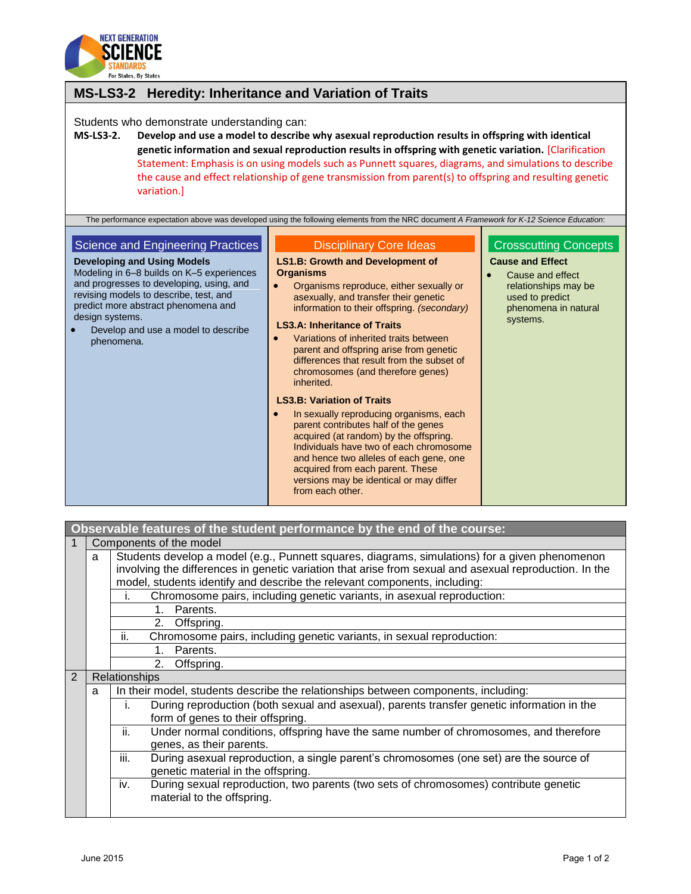

| MS-LS3-2 Heredity: Inheritance and Variation of Traits                                                                                                                                                                                                                                                                    |                                                                                                                                                                                                                                                                                                                                                                                                                                                                                                                                                                                                                                                                                                                                                                                                                                                                                                                                                                        |                                                                                                                                                            |  |  |  |
|---------------------------------------------------------------------------------------------------------------------------------------------------------------------------------------------------------------------------------------------------------------------------------------------------------------------------|------------------------------------------------------------------------------------------------------------------------------------------------------------------------------------------------------------------------------------------------------------------------------------------------------------------------------------------------------------------------------------------------------------------------------------------------------------------------------------------------------------------------------------------------------------------------------------------------------------------------------------------------------------------------------------------------------------------------------------------------------------------------------------------------------------------------------------------------------------------------------------------------------------------------------------------------------------------------|------------------------------------------------------------------------------------------------------------------------------------------------------------|--|--|--|
| Students who demonstrate understanding can:<br><b>MS-LS3-2.</b><br>variation.]                                                                                                                                                                                                                                            | Develop and use a model to describe why asexual reproduction results in offspring with identical<br>genetic information and sexual reproduction results in offspring with genetic variation. [Clarification<br>Statement: Emphasis is on using models such as Punnett squares, diagrams, and simulations to describe<br>the cause and effect relationship of gene transmission from parent(s) to offspring and resulting genetic                                                                                                                                                                                                                                                                                                                                                                                                                                                                                                                                       |                                                                                                                                                            |  |  |  |
| Science and Engineering Practices<br><b>Developing and Using Models</b><br>Modeling in 6-8 builds on K-5 experiences<br>and progresses to developing, using, and<br>revising models to describe, test, and<br>predict more abstract phenomena and<br>design systems.<br>Develop and use a model to describe<br>phenomena. | The performance expectation above was developed using the following elements from the NRC document A Framework for K-12 Science Education:<br><b>Disciplinary Core Ideas</b><br><b>LS1.B: Growth and Development of</b><br><b>Organisms</b><br>Organisms reproduce, either sexually or<br>asexually, and transfer their genetic<br>information to their offspring. (secondary)<br><b>LS3.A: Inheritance of Traits</b><br>Variations of inherited traits between<br>parent and offspring arise from genetic<br>differences that result from the subset of<br>chromosomes (and therefore genes)<br>inherited.<br><b>LS3.B: Variation of Traits</b><br>In sexually reproducing organisms, each<br>parent contributes half of the genes<br>acquired (at random) by the offspring.<br>Individuals have two of each chromosome<br>and hence two alleles of each gene, one<br>acquired from each parent. These<br>versions may be identical or may differ<br>from each other. | <b>Crosscutting Concepts</b><br><b>Cause and Effect</b><br>Cause and effect<br>relationships may be<br>used to predict<br>phenomena in natural<br>systems. |  |  |  |

| Observable features of the student performance by the end of the course: |   |                                                                                                        |  |  |  |
|--------------------------------------------------------------------------|---|--------------------------------------------------------------------------------------------------------|--|--|--|
|                                                                          |   | Components of the model                                                                                |  |  |  |
|                                                                          | a | Students develop a model (e.g., Punnett squares, diagrams, simulations) for a given phenomenon         |  |  |  |
|                                                                          |   | involving the differences in genetic variation that arise from sexual and asexual reproduction. In the |  |  |  |
|                                                                          |   | model, students identify and describe the relevant components, including:                              |  |  |  |
|                                                                          |   | Chromosome pairs, including genetic variants, in asexual reproduction:<br>I.                           |  |  |  |
|                                                                          |   | Parents.<br>$1_{-}$                                                                                    |  |  |  |
|                                                                          |   | 2.<br>Offspring.                                                                                       |  |  |  |
|                                                                          |   | ii.<br>Chromosome pairs, including genetic variants, in sexual reproduction:                           |  |  |  |
|                                                                          |   | Parents.<br>1                                                                                          |  |  |  |
|                                                                          |   | 2.<br>Offspring.                                                                                       |  |  |  |
| 2                                                                        |   | Relationships                                                                                          |  |  |  |
|                                                                          | a | In their model, students describe the relationships between components, including:                     |  |  |  |
|                                                                          |   | During reproduction (both sexual and asexual), parents transfer genetic information in the<br>İ.       |  |  |  |
|                                                                          |   | form of genes to their offspring.                                                                      |  |  |  |
|                                                                          |   | ii.<br>Under normal conditions, offspring have the same number of chromosomes, and therefore           |  |  |  |
|                                                                          |   | genes, as their parents.                                                                               |  |  |  |
|                                                                          |   | iii.<br>During asexual reproduction, a single parent's chromosomes (one set) are the source of         |  |  |  |
|                                                                          |   | genetic material in the offspring.                                                                     |  |  |  |
|                                                                          |   | During sexual reproduction, two parents (two sets of chromosomes) contribute genetic<br>iv.            |  |  |  |
|                                                                          |   | material to the offspring.                                                                             |  |  |  |
|                                                                          |   |                                                                                                        |  |  |  |